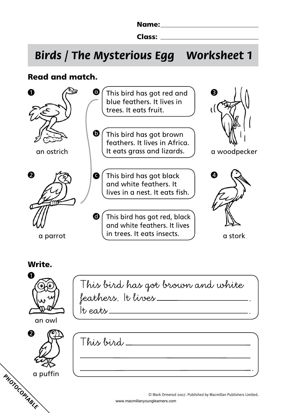Name: Name and the second state of the second state of the second state of the second state of the second state of the second state of the second state of the second state of the second state of the second state of the sec

Class:

# **Birds / The Mysterious Egg Worksheet 1**

# Read and match.



## Write.

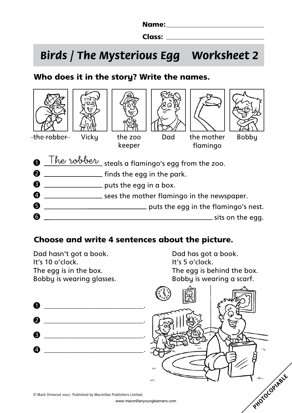Name:

Class:

# **Birds / The Mysterious Egg Worksheet 2**

# Who does it in the story? Write the names.



## Choose and write 4 sentences about the picture.

Dad hasn't got a book. Dad has got a book. It's 10 o'clock. It's 5 o'clock.

The egg is in the box. The egg is behind the box. Bobby is wearing glasses. Bobby is wearing a scarf.